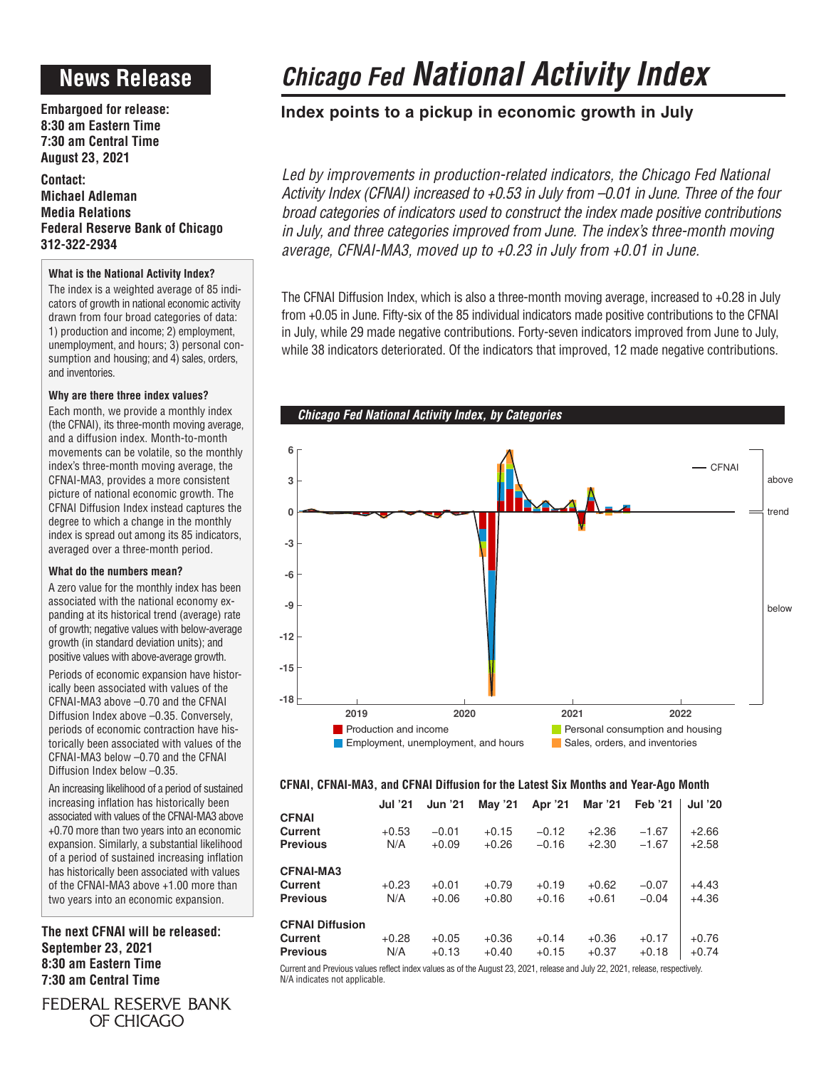# **News Release**

**Embargoed for release: 8:30 am Eastern Time 7:30 am Central Time August 23, 2021**

**Contact: Michael Adleman Media Relations Federal Reserve Bank of Chicago 312-322-2934**

### **What is the National Activity Index?**

The index is a weighted average of 85 indicators of growth in national economic activity drawn from four broad categories of data: 1) production and income; 2) employment, unemployment, and hours; 3) personal consumption and housing; and 4) sales, orders, and inventories.

### **Why are there three index values?**

Each month, we provide a monthly index (the CFNAI), its three-month moving average, and a diffusion index. Month-to-month movements can be volatile, so the monthly index's three-month moving average, the CFNAI-MA3, provides a more consistent picture of national economic growth. The CFNAI Diffusion Index instead captures the degree to which a change in the monthly index is spread out among its 85 indicators, averaged over a three-month period.

### **What do the numbers mean?**

A zero value for the monthly index has been associated with the national economy expanding at its historical trend (average) rate of growth; negative values with below-average growth (in standard deviation units); and positive values with above-average growth.

Periods of economic expansion have historically been associated with values of the CFNAI-MA3 above –0.70 and the CFNAI Diffusion Index above –0.35. Conversely, periods of economic contraction have historically been associated with values of the CFNAI-MA3 below –0.70 and the CFNAI Diffusion Index below –0.35.

An increasing likelihood of a period of sustained increasing inflation has historically been associated with values of the CFNAI-MA3 above +0.70 more than two years into an economic expansion. Similarly, a substantial likelihood of a period of sustained increasing inflation has historically been associated with values of the CFNAI-MA3 above +1.00 more than two years into an economic expansion.

**The next CFNAI will be released: September 23, 2021 8:30 am Eastern Time 7:30 am Central Time**

FEDERAL RESERVE BANK OF CHICAGO

# *Chicago Fed National Activity Index*

### **Index points to a pickup in economic growth in July**

Led by improvements in production-related indicators, the Chicago Fed National *Activity Index (CFNAI) increased to +0.53 in July from –0.01 in June. Three of the four broad categories of indicators used to construct the index made positive contributions in July, and three categories improved from June. The index's three-month moving average, CFNAI-MA3, moved up to +0.23 in July from +0.01 in June.*

The CFNAI Diffusion Index, which is also a three-month moving average, increased to +0.28 in July from +0.05 in June. Fifty-six of the 85 individual indicators made positive contributions to the CFNAI in July, while 29 made negative contributions. Forty-seven indicators improved from June to July, while 38 indicators deteriorated. Of the indicators that improved, 12 made negative contributions.



### **CFNAI, CFNAI-MA3, and CFNAI Diffusion for the Latest Six Months and Year-Ago Month**

|                                                       | <b>Jul '21</b> | <b>Jun '21</b>     | May '21            | Apr '21            | Mar '21            | <b>Feb</b> '21     | <b>Jul '20</b>     |
|-------------------------------------------------------|----------------|--------------------|--------------------|--------------------|--------------------|--------------------|--------------------|
| <b>CFNAI</b><br><b>Current</b><br><b>Previous</b>     | $+0.53$<br>N/A | $-0.01$<br>$+0.09$ | $+0.15$<br>$+0.26$ | $-0.12$<br>$-0.16$ | $+2.36$<br>$+2.30$ | $-1.67$<br>$-1.67$ | $+2.66$<br>$+2.58$ |
| <b>CFNAI-MA3</b><br><b>Current</b><br><b>Previous</b> | $+0.23$<br>N/A | $+0.01$<br>$+0.06$ | $+0.79$<br>$+0.80$ | $+0.19$<br>$+0.16$ | $+0.62$<br>$+0.61$ | $-0.07$<br>$-0.04$ | $+4.43$<br>$+4.36$ |
| <b>CFNAI Diffusion</b><br>Current<br><b>Previous</b>  | $+0.28$<br>N/A | $+0.05$<br>$+0.13$ | $+0.36$<br>$+0.40$ | $+0.14$<br>$+0.15$ | $+0.36$<br>$+0.37$ | $+0.17$<br>$+0.18$ | $+0.76$<br>$+0.74$ |

Current and Previous values reflect index values as of the August 23, 2021, release and July 22, 2021, release, respectively. N/A indicates not applicable.